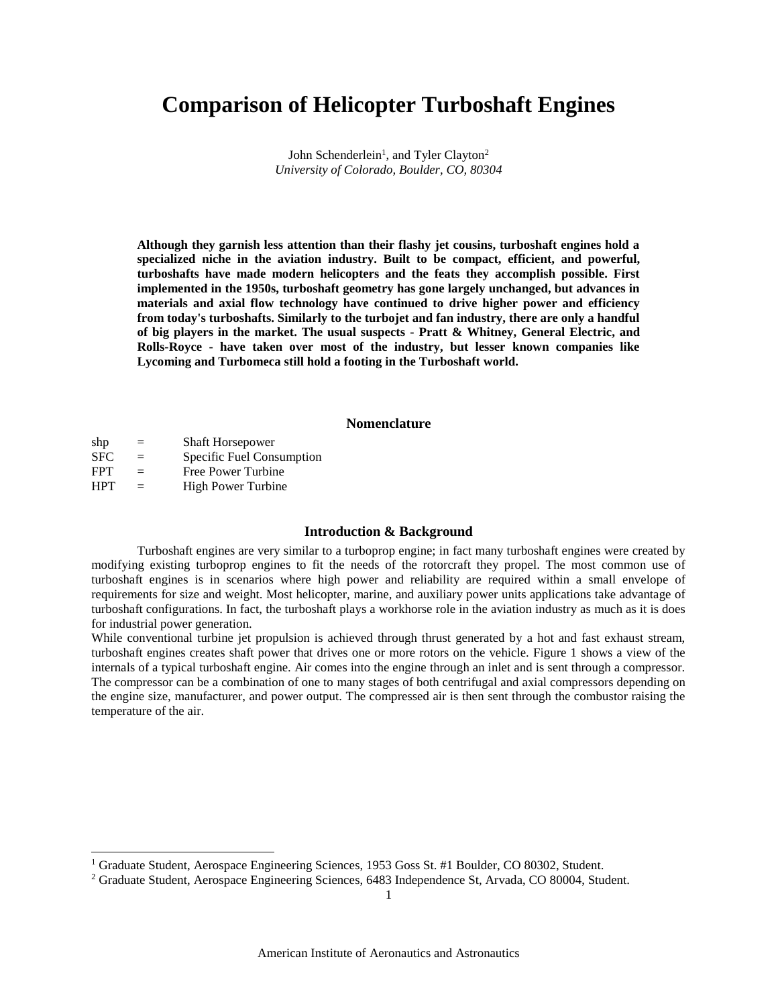# **Comparison of Helicopter Turboshaft Engines**

John Schenderlein<sup>1</sup>, and Tyler Clayton<sup>2</sup> *University of Colorado, Boulder, CO, 80304*

**Although they garnish less attention than their flashy jet cousins, turboshaft engines hold a specialized niche in the aviation industry. Built to be compact, efficient, and powerful, turboshafts have made modern helicopters and the feats they accomplish possible. First implemented in the 1950s, turboshaft geometry has gone largely unchanged, but advances in materials and axial flow technology have continued to drive higher power and efficiency from today's turboshafts. Similarly to the turbojet and fan industry, there are only a handful of big players in the market. The usual suspects - Pratt & Whitney, General Electric, and Rolls-Royce - have taken over most of the industry, but lesser known companies like Lycoming and Turbomeca still hold a footing in the Turboshaft world.**

## **Nomenclature**

| shp        | $=$ | <b>Shaft Horsepower</b>   |
|------------|-----|---------------------------|
| <b>SFC</b> | $=$ | Specific Fuel Consumption |
| <b>FPT</b> | $=$ | Free Power Turbine        |
| <b>HPT</b> | $=$ | <b>High Power Turbine</b> |

 $\overline{\phantom{a}}$ 

## **Introduction & Background**

Turboshaft engines are very similar to a turboprop engine; in fact many turboshaft engines were created by modifying existing turboprop engines to fit the needs of the rotorcraft they propel. The most common use of turboshaft engines is in scenarios where high power and reliability are required within a small envelope of requirements for size and weight. Most helicopter, marine, and auxiliary power units applications take advantage of turboshaft configurations. In fact, the turboshaft plays a workhorse role in the aviation industry as much as it is does for industrial power generation.

While conventional turbine jet propulsion is achieved through thrust generated by a hot and fast exhaust stream, turboshaft engines creates shaft power that drives one or more rotors on the vehicle. Figure 1 shows a view of the internals of a typical turboshaft engine. Air comes into the engine through an inlet and is sent through a compressor. The compressor can be a combination of one to many stages of both centrifugal and axial compressors depending on the engine size, manufacturer, and power output. The compressed air is then sent through the combustor raising the temperature of the air.

<sup>&</sup>lt;sup>1</sup> Graduate Student, Aerospace Engineering Sciences, 1953 Goss St. #1 Boulder, CO 80302, Student.

<sup>&</sup>lt;sup>2</sup> Graduate Student, Aerospace Engineering Sciences, 6483 Independence St, Arvada, CO 80004, Student.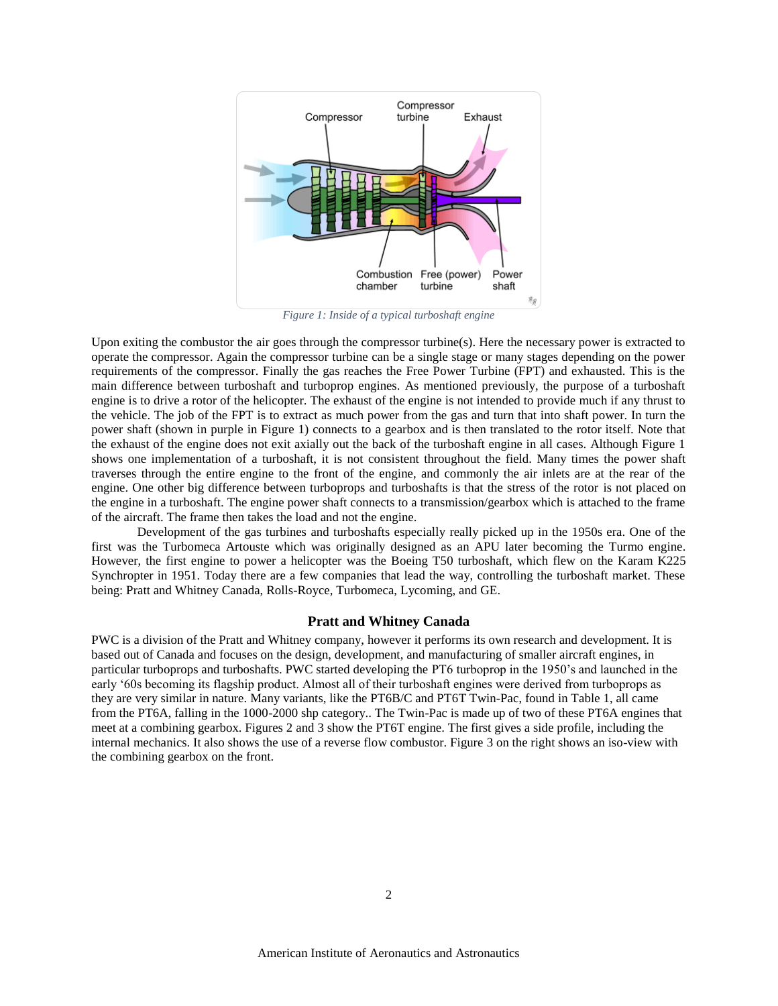

*Figure 1: Inside of a typical turboshaft engine*

Upon exiting the combustor the air goes through the compressor turbine(s). Here the necessary power is extracted to operate the compressor. Again the compressor turbine can be a single stage or many stages depending on the power requirements of the compressor. Finally the gas reaches the Free Power Turbine (FPT) and exhausted. This is the main difference between turboshaft and turboprop engines. As mentioned previously, the purpose of a turboshaft engine is to drive a rotor of the helicopter. The exhaust of the engine is not intended to provide much if any thrust to the vehicle. The job of the FPT is to extract as much power from the gas and turn that into shaft power. In turn the power shaft (shown in purple in Figure 1) connects to a gearbox and is then translated to the rotor itself. Note that the exhaust of the engine does not exit axially out the back of the turboshaft engine in all cases. Although Figure 1 shows one implementation of a turboshaft, it is not consistent throughout the field. Many times the power shaft traverses through the entire engine to the front of the engine, and commonly the air inlets are at the rear of the engine. One other big difference between turboprops and turboshafts is that the stress of the rotor is not placed on the engine in a turboshaft. The engine power shaft connects to a transmission/gearbox which is attached to the frame of the aircraft. The frame then takes the load and not the engine.

Development of the gas turbines and turboshafts especially really picked up in the 1950s era. One of the first was the Turbomeca Artouste which was originally designed as an APU later becoming the Turmo engine. However, the first engine to power a helicopter was the Boeing T50 turboshaft, which flew on the Karam K225 Synchropter in 1951. Today there are a few companies that lead the way, controlling the turboshaft market. These being: Pratt and Whitney Canada, Rolls-Royce, Turbomeca, Lycoming, and GE.

## **Pratt and Whitney Canada**

PWC is a division of the Pratt and Whitney company, however it performs its own research and development. It is based out of Canada and focuses on the design, development, and manufacturing of smaller aircraft engines, in particular turboprops and turboshafts. PWC started developing the PT6 turboprop in the 1950's and launched in the early '60s becoming its flagship product. Almost all of their turboshaft engines were derived from turboprops as they are very similar in nature. Many variants, like the PT6B/C and PT6T Twin-Pac, found in Table 1, all came from the PT6A, falling in the 1000-2000 shp category.. The Twin-Pac is made up of two of these PT6A engines that meet at a combining gearbox. Figures 2 and 3 show the PT6T engine. The first gives a side profile, including the internal mechanics. It also shows the use of a reverse flow combustor. Figure 3 on the right shows an iso-view with the combining gearbox on the front.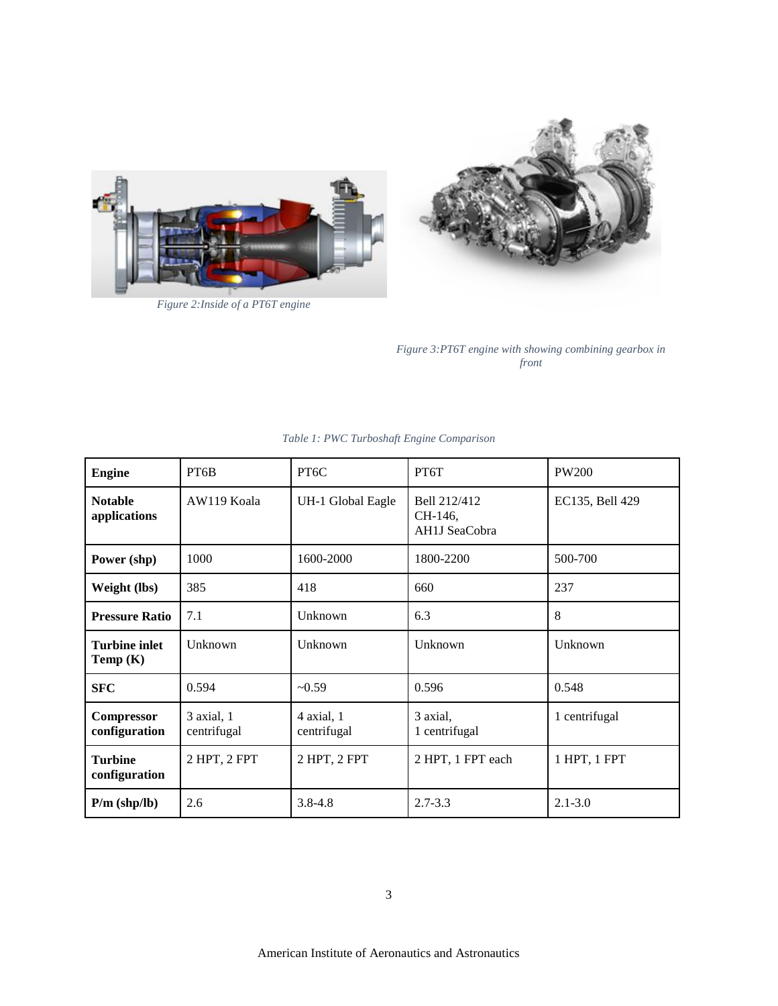

*Figure 2:Inside of a PT6T engine*

*Figure 3:PT6T engine with showing combining gearbox in front*

| <b>Engine</b>                      | PT6B                      | PT <sub>6</sub> C         | PT6T                                     | <b>PW200</b>    |
|------------------------------------|---------------------------|---------------------------|------------------------------------------|-----------------|
| <b>Notable</b><br>applications     | AW119 Koala               | UH-1 Global Eagle         | Bell 212/412<br>CH-146,<br>AH1J SeaCobra | EC135, Bell 429 |
| Power (shp)                        | 1000                      | 1600-2000                 | 1800-2200                                | 500-700         |
| Weight (lbs)                       | 385                       |                           | 660                                      | 237             |
| <b>Pressure Ratio</b>              | 7.1                       | Unknown                   | 6.3                                      | 8               |
| <b>Turbine inlet</b><br>Temp $(K)$ | Unknown                   | Unknown                   | Unknown                                  | Unknown         |
| <b>SFC</b>                         | 0.594                     | $-0.59$                   | 0.596                                    | 0.548           |
| Compressor<br>configuration        | 3 axial, 1<br>centrifugal | 4 axial, 1<br>centrifugal | 3 axial,<br>1 centrifugal                | 1 centrifugal   |
| <b>Turbine</b><br>configuration    | 2 HPT, 2 FPT              | 2 HPT, 2 FPT              | 2 HPT, 1 FPT each                        | 1 HPT, 1 FPT    |
| $P/m$ (shp/lb)                     | 2.6                       | $3.8 - 4.8$               | $2.7 - 3.3$                              | $2.1 - 3.0$     |

# *Table 1: PWC Turboshaft Engine Comparison*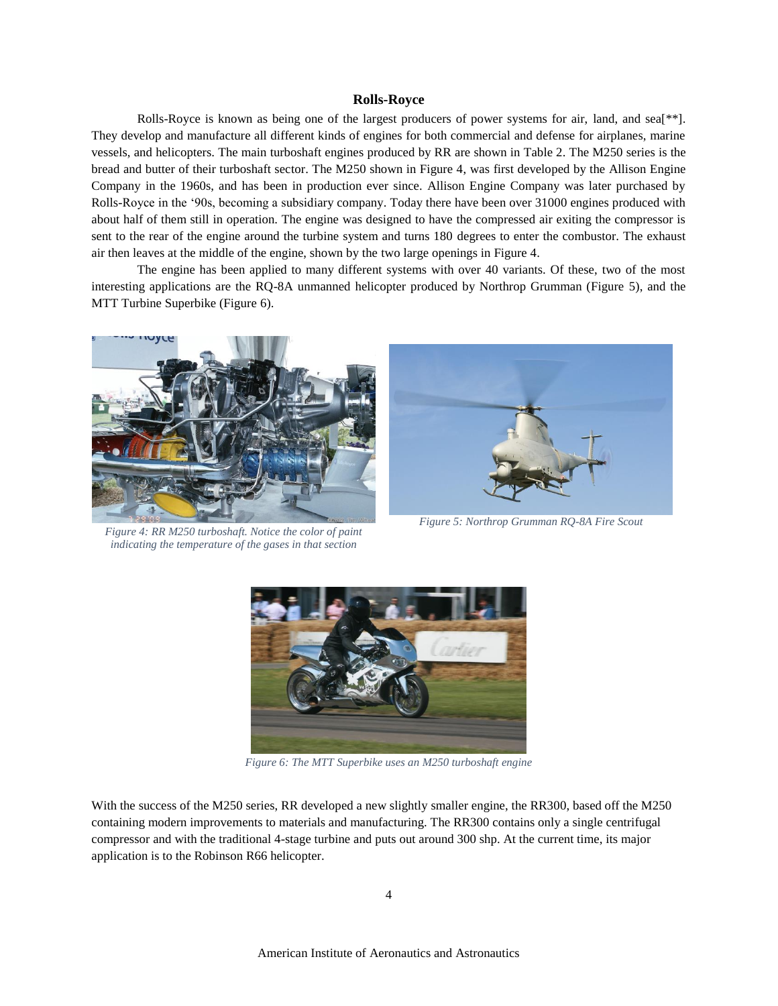## **Rolls-Royce**

Rolls-Royce is known as being one of the largest producers of power systems for air, land, and sea[\*\*]. They develop and manufacture all different kinds of engines for both commercial and defense for airplanes, marine vessels, and helicopters. The main turboshaft engines produced by RR are shown in Table 2. The M250 series is the bread and butter of their turboshaft sector. The M250 shown in Figure 4, was first developed by the Allison Engine Company in the 1960s, and has been in production ever since. Allison Engine Company was later purchased by Rolls-Royce in the '90s, becoming a subsidiary company. Today there have been over 31000 engines produced with about half of them still in operation. The engine was designed to have the compressed air exiting the compressor is sent to the rear of the engine around the turbine system and turns 180 degrees to enter the combustor. The exhaust air then leaves at the middle of the engine, shown by the two large openings in Figure 4.

The engine has been applied to many different systems with over 40 variants. Of these, two of the most interesting applications are the RQ-8A unmanned helicopter produced by Northrop Grumman (Figure 5), and the MTT Turbine Superbike (Figure 6).



*Figure 4: RR M250 turboshaft. Notice the color of paint indicating the temperature of the gases in that section*



*Figure 5: Northrop Grumman RQ-8A Fire Scout*



*Figure 6: The MTT Superbike uses an M250 turboshaft engine*

With the success of the M250 series, RR developed a new slightly smaller engine, the RR300, based off the M250 containing modern improvements to materials and manufacturing. The RR300 contains only a single centrifugal compressor and with the traditional 4-stage turbine and puts out around 300 shp. At the current time, its major application is to the Robinson R66 helicopter.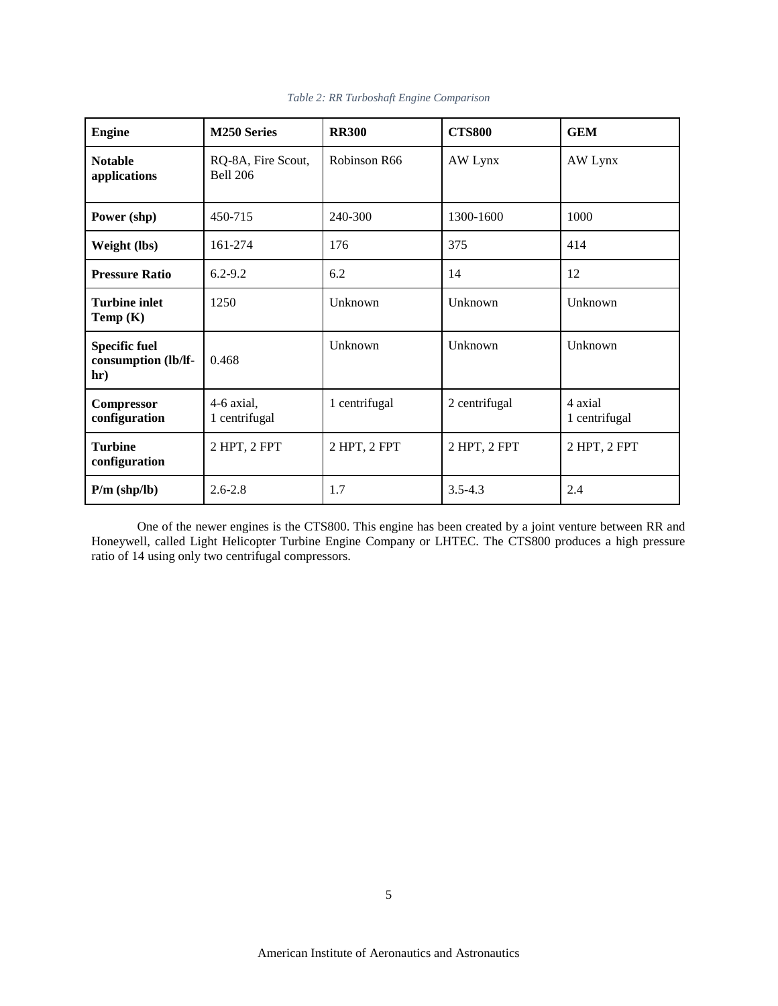| <b>Engine</b>                                      | <b>M250 Series</b>                    | <b>RR300</b>  | <b>CTS800</b> | <b>GEM</b>               |
|----------------------------------------------------|---------------------------------------|---------------|---------------|--------------------------|
| <b>Notable</b><br>applications                     | RQ-8A, Fire Scout,<br><b>Bell 206</b> | Robinson R66  | AW Lynx       | AW Lynx                  |
| Power (shp)                                        | 450-715                               | 240-300       | 1300-1600     | 1000                     |
| Weight (lbs)                                       | 161-274                               | 176           | 375           | 414                      |
| <b>Pressure Ratio</b>                              | $6.2 - 9.2$                           | 6.2           | 14            | 12                       |
| <b>Turbine inlet</b><br>Temp $(K)$                 | 1250                                  | Unknown       | Unknown       | Unknown                  |
| <b>Specific fuel</b><br>consumption (lb/lf-<br>hr) | 0.468                                 | Unknown       | Unknown       | Unknown                  |
| Compressor<br>configuration                        | 4-6 axial,<br>1 centrifugal           | 1 centrifugal | 2 centrifugal | 4 axial<br>1 centrifugal |
| <b>Turbine</b><br>configuration                    | 2 HPT, 2 FPT                          | 2 HPT, 2 FPT  | 2 HPT, 2 FPT  | 2 HPT, 2 FPT             |
| $P/m$ (shp/lb)                                     | $2.6 - 2.8$                           | 1.7           | $3.5 - 4.3$   | 2.4                      |

*Table 2: RR Turboshaft Engine Comparison*

One of the newer engines is the CTS800. This engine has been created by a joint venture between RR and Honeywell, called Light Helicopter Turbine Engine Company or LHTEC. The CTS800 produces a high pressure ratio of 14 using only two centrifugal compressors.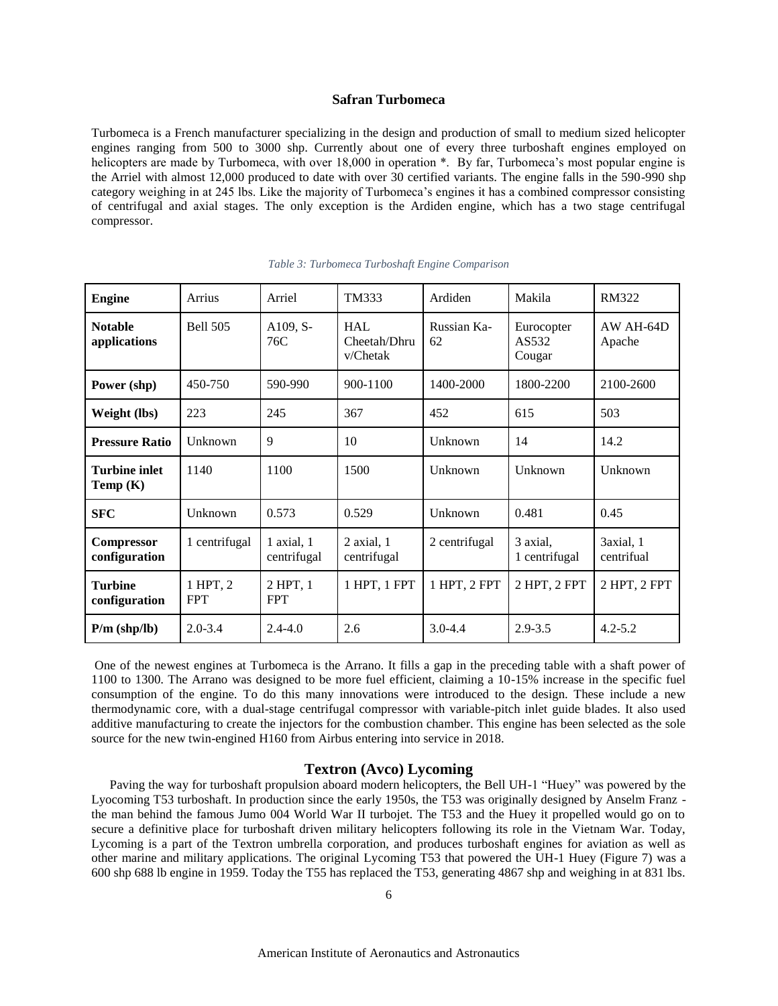## **Safran Turbomeca**

Turbomeca is a French manufacturer specializing in the design and production of small to medium sized helicopter engines ranging from 500 to 3000 shp. Currently about one of every three turboshaft engines employed on helicopters are made by Turbomeca, with over 18,000 in operation \*. By far, Turbomeca's most popular engine is the Arriel with almost 12,000 produced to date with over 30 certified variants. The engine falls in the 590-990 shp category weighing in at 245 lbs. Like the majority of Turbomeca's engines it has a combined compressor consisting of centrifugal and axial stages. The only exception is the Ardiden engine, which has a two stage centrifugal compressor.

| <b>Engine</b>                      | Arrius                 | Arriel                    | TM333                                  | Ardiden           | Makila                        | <b>RM322</b>            |
|------------------------------------|------------------------|---------------------------|----------------------------------------|-------------------|-------------------------------|-------------------------|
| <b>Notable</b><br>applications     | <b>Bell 505</b>        | A109, S-<br>76C           | <b>HAL</b><br>Cheetah/Dhru<br>v/Chetak | Russian Ka-<br>62 | Eurocopter<br>AS532<br>Cougar | AW AH-64D<br>Apache     |
| Power (shp)                        | 450-750                | 590-990                   | 900-1100                               | 1400-2000         | 1800-2200                     | 2100-2600               |
| Weight (lbs)                       | 223                    | 245                       | 367                                    | 452               | 615                           | 503                     |
| <b>Pressure Ratio</b>              | Unknown                | 9                         | 10                                     | Unknown           | 14                            | 14.2                    |
| <b>Turbine inlet</b><br>Temp $(K)$ | 1140                   | 1100                      | 1500                                   | Unknown           | Unknown                       | Unknown                 |
| <b>SFC</b>                         | Unknown                | 0.573                     | 0.529                                  | Unknown           | 0.481                         | 0.45                    |
| <b>Compressor</b><br>configuration | 1 centrifugal          | 1 axial, 1<br>centrifugal | 2 axial, 1<br>centrifugal              | 2 centrifugal     | 3 axial,<br>1 centrifugal     | 3axial, 1<br>centrifual |
| <b>Turbine</b><br>configuration    | 1 HPT, 2<br><b>FPT</b> | 2 HPT, 1<br><b>FPT</b>    | 1 HPT, 1 FPT                           | 1 HPT, 2 FPT      | 2 HPT, 2 FPT                  | 2 HPT, 2 FPT            |
| $P/m$ (shp/lb)                     | $2.0 - 3.4$            | $2.4 - 4.0$               | 2.6                                    | $3.0 - 4.4$       | $2.9 - 3.5$                   | $4.2 - 5.2$             |

#### *Table 3: Turbomeca Turboshaft Engine Comparison*

One of the newest engines at Turbomeca is the Arrano. It fills a gap in the preceding table with a shaft power of 1100 to 1300. The Arrano was designed to be more fuel efficient, claiming a 10-15% increase in the specific fuel consumption of the engine. To do this many innovations were introduced to the design. These include a new thermodynamic core, with a dual-stage centrifugal compressor with variable-pitch inlet guide blades. It also used additive manufacturing to create the injectors for the combustion chamber. This engine has been selected as the sole source for the new twin-engined H160 from Airbus entering into service in 2018.

## **Textron (Avco) Lycoming**

Paving the way for turboshaft propulsion aboard modern helicopters, the Bell UH-1 "Huey" was powered by the Lyocoming T53 turboshaft. In production since the early 1950s, the T53 was originally designed by Anselm Franz the man behind the famous Jumo 004 World War II turbojet. The T53 and the Huey it propelled would go on to secure a definitive place for turboshaft driven military helicopters following its role in the Vietnam War. Today, Lycoming is a part of the Textron umbrella corporation, and produces turboshaft engines for aviation as well as other marine and military applications. The original Lycoming T53 that powered the UH-1 Huey (Figure 7) was a 600 shp 688 lb engine in 1959. Today the T55 has replaced the T53, generating 4867 shp and weighing in at 831 lbs.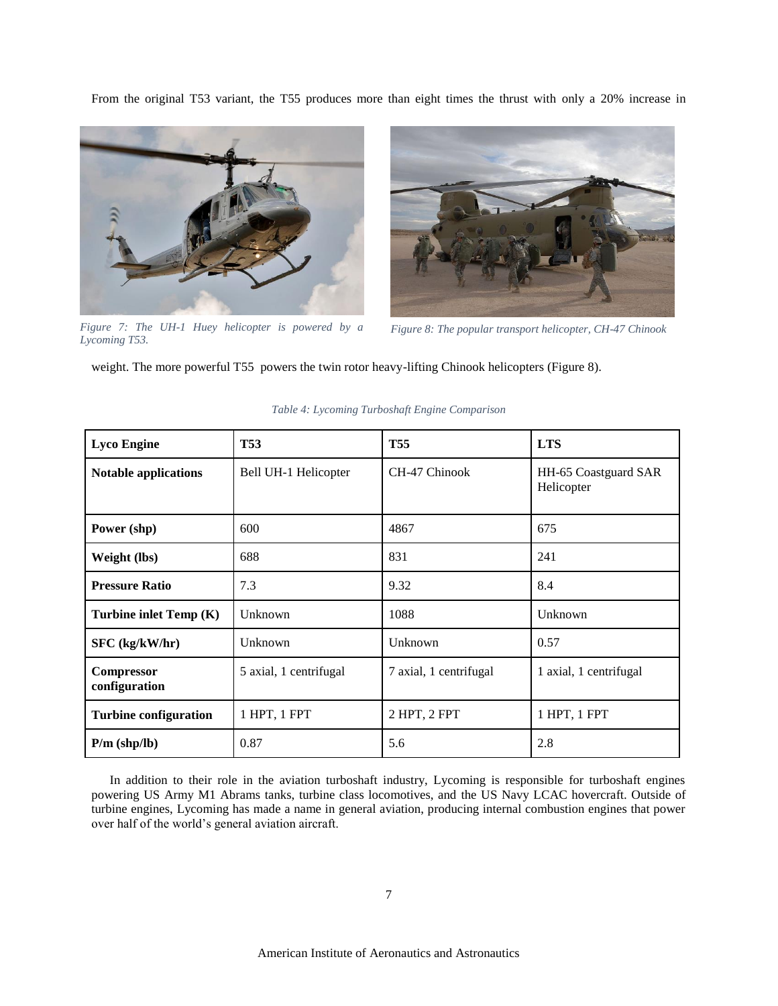From the original T53 variant, the T55 produces more than eight times the thrust with only a 20% increase in



*Figure 7: The UH-1 Huey helicopter is powered by a Lycoming T53.*



*Figure 8: The popular transport helicopter, CH-47 Chinook*

weight. The more powerful T55 powers the twin rotor heavy-lifting Chinook helicopters (Figure 8).

| <b>Lyco Engine</b>                 | <b>T53</b>             | <b>T55</b>             | <b>LTS</b>                         |
|------------------------------------|------------------------|------------------------|------------------------------------|
| <b>Notable applications</b>        | Bell UH-1 Helicopter   | CH-47 Chinook          | HH-65 Coastguard SAR<br>Helicopter |
| Power (shp)                        | 600                    | 4867                   | 675                                |
| Weight (lbs)                       | 688                    | 831                    | 241                                |
| <b>Pressure Ratio</b>              | 7.3                    | 9.32                   | 8.4                                |
| Turbine inlet Temp (K)             | Unknown                | 1088                   | Unknown                            |
| SFC (kg/kW/hr)                     | Unknown                | Unknown                | 0.57                               |
| <b>Compressor</b><br>configuration | 5 axial, 1 centrifugal | 7 axial, 1 centrifugal | 1 axial, 1 centrifugal             |
| <b>Turbine configuration</b>       | 1 HPT, 1 FPT           | 2 HPT, 2 FPT           | 1 HPT, 1 FPT                       |
| $P/m$ (shp/lb)                     | 0.87                   | 5.6                    | 2.8                                |

*Table 4: Lycoming Turboshaft Engine Comparison*

In addition to their role in the aviation turboshaft industry, Lycoming is responsible for turboshaft engines powering US Army M1 Abrams tanks, turbine class locomotives, and the US Navy LCAC hovercraft. Outside of turbine engines, Lycoming has made a name in general aviation, producing internal combustion engines that power over half of the world's general aviation aircraft.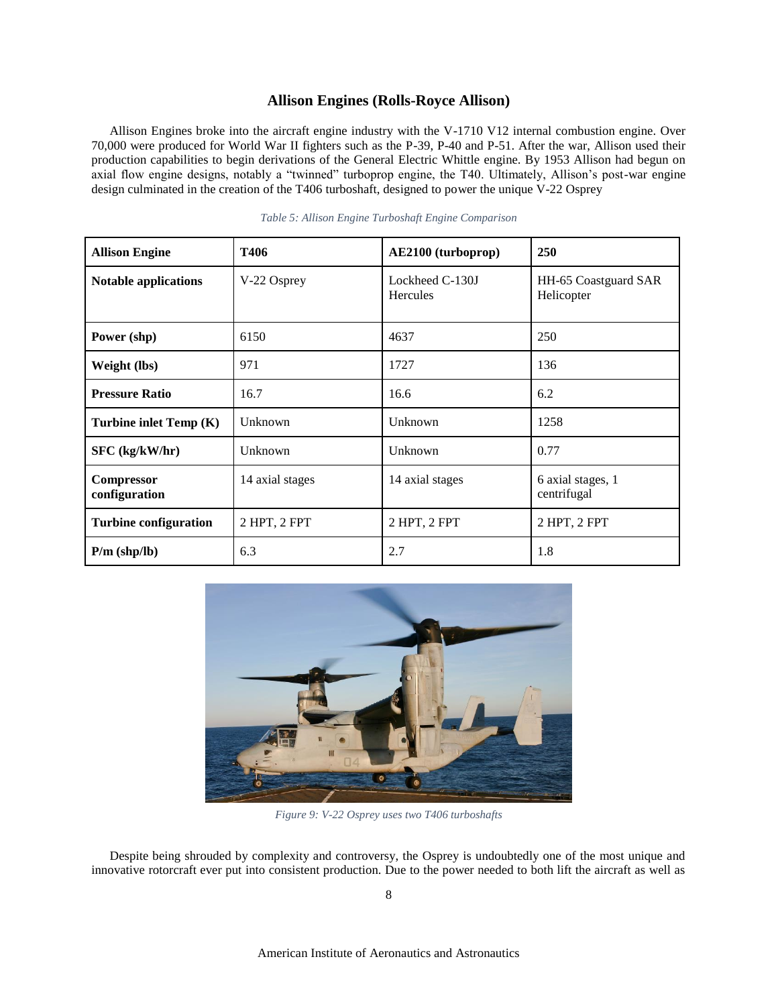# **Allison Engines (Rolls-Royce Allison)**

Allison Engines broke into the aircraft engine industry with the V-1710 V12 internal combustion engine. Over 70,000 were produced for World War II fighters such as the P-39, P-40 and P-51. After the war, Allison used their production capabilities to begin derivations of the General Electric Whittle engine. By 1953 Allison had begun on axial flow engine designs, notably a "twinned" turboprop engine, the T40. Ultimately, Allison's post-war engine design culminated in the creation of the T406 turboshaft, designed to power the unique V-22 Osprey

| <b>Allison Engine</b>              | T406            | AE2100 (turboprop)          |                                    |
|------------------------------------|-----------------|-----------------------------|------------------------------------|
| <b>Notable applications</b>        | V-22 Osprey     | Lockheed C-130J<br>Hercules | HH-65 Coastguard SAR<br>Helicopter |
| Power (shp)                        | 6150            | 4637                        | 250                                |
| Weight (lbs)                       | 971             | 1727                        | 136                                |
| <b>Pressure Ratio</b>              | 16.7            | 16.6                        | 6.2                                |
| Turbine inlet Temp (K)             | Unknown         | Unknown                     | 1258                               |
| SFC (kg/kW/hr)                     | Unknown         | Unknown                     | 0.77                               |
| <b>Compressor</b><br>configuration | 14 axial stages | 14 axial stages             | 6 axial stages, 1<br>centrifugal   |
| <b>Turbine configuration</b>       | 2 HPT, 2 FPT    | 2 HPT, 2 FPT                | 2 HPT, 2 FPT                       |
| $P/m$ (shp/lb)                     | 6.3             | 2.7                         | 1.8                                |

*Table 5: Allison Engine Turboshaft Engine Comparison*



*Figure 9: V-22 Osprey uses two T406 turboshafts*

Despite being shrouded by complexity and controversy, the Osprey is undoubtedly one of the most unique and innovative rotorcraft ever put into consistent production. Due to the power needed to both lift the aircraft as well as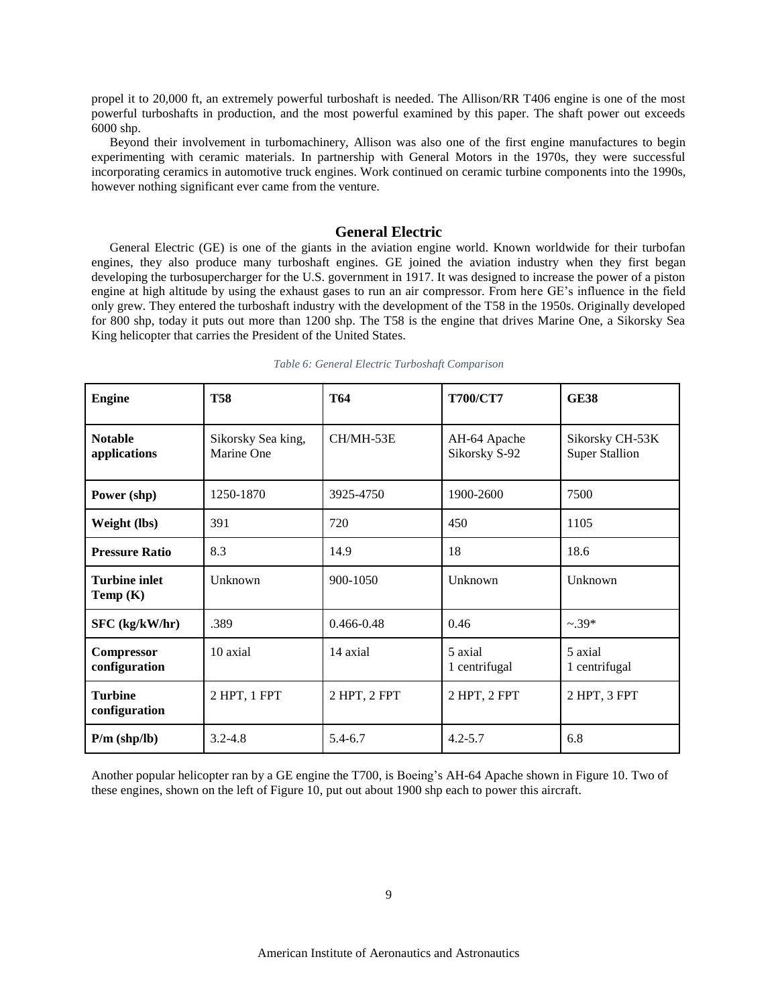propel it to 20,000 ft, an extremely powerful turboshaft is needed. The Allison/RR T406 engine is one of the most powerful turboshafts in production, and the most powerful examined by this paper. The shaft power out exceeds 6000 shp.

Beyond their involvement in turbomachinery, Allison was also one of the first engine manufactures to begin experimenting with ceramic materials. In partnership with General Motors in the 1970s, they were successful incorporating ceramics in automotive truck engines. Work continued on ceramic turbine components into the 1990s, however nothing significant ever came from the venture.

# **General Electric**

General Electric (GE) is one of the giants in the aviation engine world. Known worldwide for their turbofan engines, they also produce many turboshaft engines. GE joined the aviation industry when they first began developing the turbosupercharger for the U.S. government in 1917. It was designed to increase the power of a piston engine at high altitude by using the exhaust gases to run an air compressor. From here GE's influence in the field only grew. They entered the turboshaft industry with the development of the T58 in the 1950s. Originally developed for 800 shp, today it puts out more than 1200 shp. The T58 is the engine that drives Marine One, a Sikorsky Sea King helicopter that carries the President of the United States.

| <b>Engine</b>                      | <b>T58</b>                       | T64          | <b>T700/CT7</b>               | <b>GE38</b>                              |
|------------------------------------|----------------------------------|--------------|-------------------------------|------------------------------------------|
| <b>Notable</b><br>applications     | Sikorsky Sea king,<br>Marine One | CH/MH-53E    | AH-64 Apache<br>Sikorsky S-92 | Sikorsky CH-53K<br><b>Super Stallion</b> |
| Power (shp)                        | 1250-1870                        | 3925-4750    | 1900-2600                     | 7500                                     |
| Weight (lbs)                       | 391                              | 720          | 450                           | 1105                                     |
| <b>Pressure Ratio</b>              | 8.3                              | 14.9         | 18                            | 18.6                                     |
| <b>Turbine inlet</b><br>Temp $(K)$ | Unknown                          | 900-1050     | Unknown                       | Unknown                                  |
| SFC (kg/kW/hr)                     | .389                             | 0.466-0.48   | 0.46                          | $-.39*$                                  |
| <b>Compressor</b><br>configuration | 10 axial                         | 14 axial     | 5 axial<br>1 centrifugal      | 5 axial<br>1 centrifugal                 |
| <b>Turbine</b><br>configuration    | 2 HPT, 1 FPT                     | 2 HPT, 2 FPT | 2 HPT, 2 FPT                  | 2 HPT, 3 FPT                             |
| $P/m$ (shp/lb)                     | $3.2 - 4.8$                      | 5.4-6.7      | $4.2 - 5.7$                   | 6.8                                      |

*Table 6: General Electric Turboshaft Comparison*

Another popular helicopter ran by a GE engine the T700, is Boeing's AH-64 Apache shown in Figure 10. Two of these engines, shown on the left of Figure 10, put out about 1900 shp each to power this aircraft.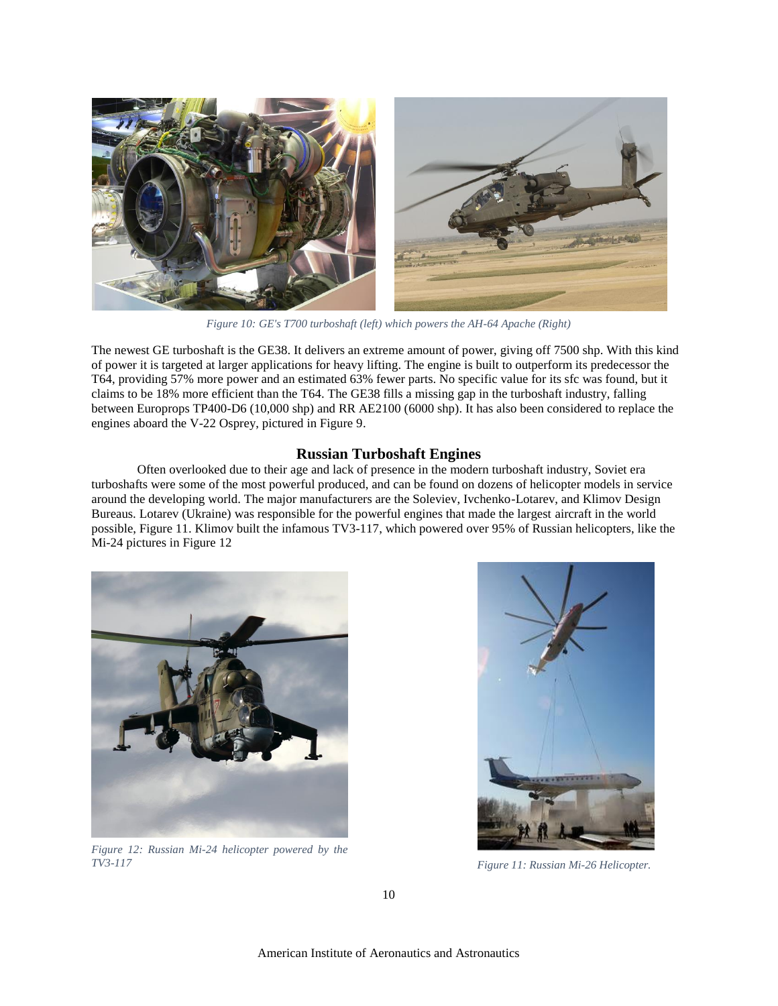

*Figure 10: GE's T700 turboshaft (left) which powers the AH-64 Apache (Right)*

The newest GE turboshaft is the GE38. It delivers an extreme amount of power, giving off 7500 shp. With this kind of power it is targeted at larger applications for heavy lifting. The engine is built to outperform its predecessor the T64, providing 57% more power and an estimated 63% fewer parts. No specific value for its sfc was found, but it claims to be 18% more efficient than the T64. The GE38 fills a missing gap in the turboshaft industry, falling between Europrops TP400-D6 (10,000 shp) and RR AE2100 (6000 shp). It has also been considered to replace the engines aboard the V-22 Osprey, pictured in Figure 9.

# **Russian Turboshaft Engines**

Often overlooked due to their age and lack of presence in the modern turboshaft industry, Soviet era turboshafts were some of the most powerful produced, and can be found on dozens of helicopter models in service around the developing world. The major manufacturers are the Soleviev, Ivchenko-Lotarev, and Klimov Design Bureaus. Lotarev (Ukraine) was responsible for the powerful engines that made the largest aircraft in the world possible, Figure 11. Klimov built the infamous TV3-117, which powered over 95% of Russian helicopters, like the Mi-24 pictures in Figure 12



*Figure 12: Russian Mi-24 helicopter powered by the TV3-117 Figure 11: Russian Mi-26 Helicopter.*

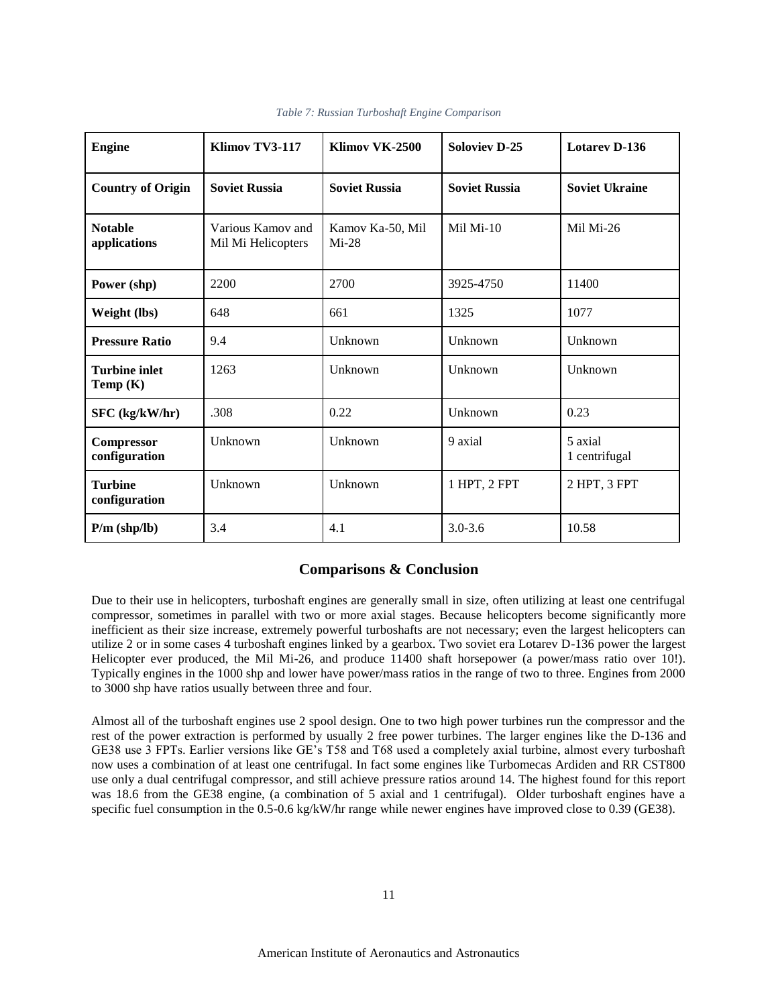| <b>Engine</b>                    | Klimov TV3-117                          | Klimov VK-2500              | <b>Soloviev D-25</b> | <b>Lotarev D-136</b>     |
|----------------------------------|-----------------------------------------|-----------------------------|----------------------|--------------------------|
| <b>Country of Origin</b>         | <b>Soviet Russia</b>                    | <b>Soviet Russia</b>        | <b>Soviet Russia</b> | <b>Soviet Ukraine</b>    |
| <b>Notable</b><br>applications   | Various Kamov and<br>Mil Mi Helicopters | Kamov Ka-50, Mil<br>$Mi-28$ | Mil $Mi-10$          | Mil Mi-26                |
| Power (shp)                      | 2200                                    | 2700                        | 3925-4750            | 11400                    |
| Weight (lbs)                     | 648                                     | 661                         | 1325                 | 1077                     |
| <b>Pressure Ratio</b>            | 9.4                                     | Unknown                     | Unknown              | Unknown                  |
| <b>Turbine inlet</b><br>Temp (K) | 1263                                    | Unknown                     | Unknown              | Unknown                  |
| SFC (kg/kW/hr)                   | .308                                    | 0.22                        | Unknown              | 0.23                     |
| Compressor<br>configuration      | Unknown                                 | Unknown                     | 9 axial              | 5 axial<br>1 centrifugal |
| <b>Turbine</b><br>configuration  | Unknown                                 | Unknown                     | 1 HPT, 2 FPT         | 2 HPT, 3 FPT             |
| $P/m$ (shp/lb)                   | 3.4                                     | 4.1                         | $3.0 - 3.6$          | 10.58                    |

*Table 7: Russian Turboshaft Engine Comparison*

# **Comparisons & Conclusion**

Due to their use in helicopters, turboshaft engines are generally small in size, often utilizing at least one centrifugal compressor, sometimes in parallel with two or more axial stages. Because helicopters become significantly more inefficient as their size increase, extremely powerful turboshafts are not necessary; even the largest helicopters can utilize 2 or in some cases 4 turboshaft engines linked by a gearbox. Two soviet era Lotarev D-136 power the largest Helicopter ever produced, the Mil Mi-26, and produce 11400 shaft horsepower (a power/mass ratio over 10!). Typically engines in the 1000 shp and lower have power/mass ratios in the range of two to three. Engines from 2000 to 3000 shp have ratios usually between three and four.

Almost all of the turboshaft engines use 2 spool design. One to two high power turbines run the compressor and the rest of the power extraction is performed by usually 2 free power turbines. The larger engines like the D-136 and GE38 use 3 FPTs. Earlier versions like GE's T58 and T68 used a completely axial turbine, almost every turboshaft now uses a combination of at least one centrifugal. In fact some engines like Turbomecas Ardiden and RR CST800 use only a dual centrifugal compressor, and still achieve pressure ratios around 14. The highest found for this report was 18.6 from the GE38 engine, (a combination of 5 axial and 1 centrifugal). Older turboshaft engines have a specific fuel consumption in the 0.5-0.6 kg/kW/hr range while newer engines have improved close to 0.39 (GE38).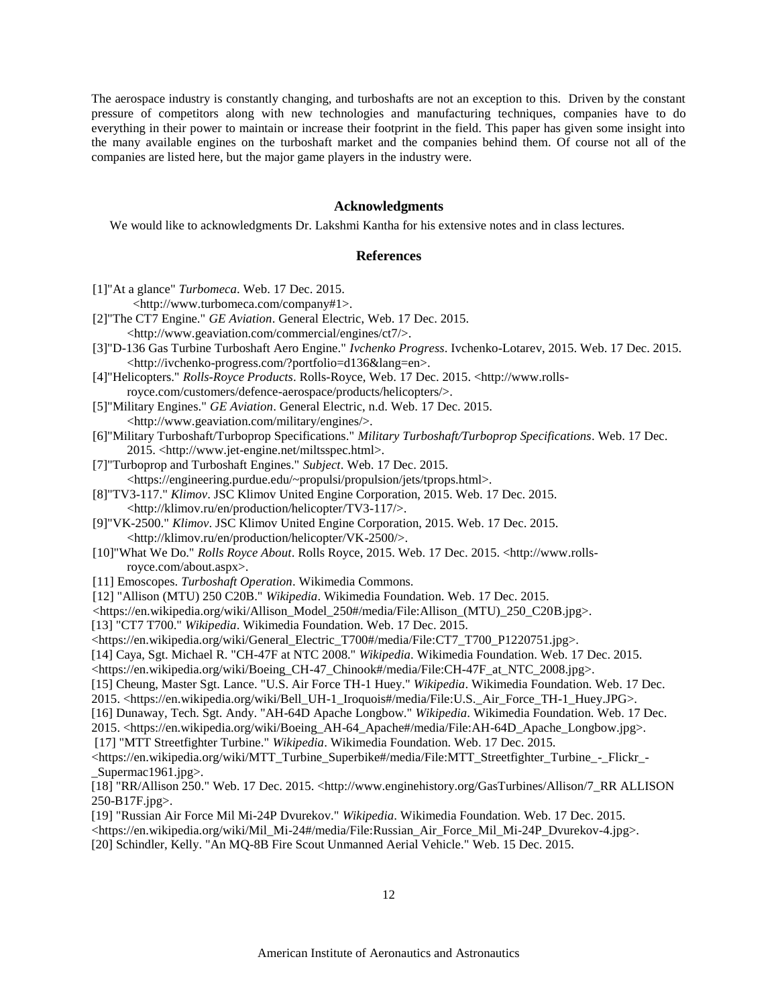The aerospace industry is constantly changing, and turboshafts are not an exception to this. Driven by the constant pressure of competitors along with new technologies and manufacturing techniques, companies have to do everything in their power to maintain or increase their footprint in the field. This paper has given some insight into the many available engines on the turboshaft market and the companies behind them. Of course not all of the companies are listed here, but the major game players in the industry were.

## **Acknowledgments**

We would like to acknowledgments Dr. Lakshmi Kantha for his extensive notes and in class lectures.

#### **References**

[1]"At a glance" *Turbomeca*. Web. 17 Dec. 2015.

<http://www.turbomeca.com/company#1>.

- [2]"The CT7 Engine." *GE Aviation*. General Electric, Web. 17 Dec. 2015.
	- <http://www.geaviation.com/commercial/engines/ct7/>.
- [3]"D-136 Gas Turbine Turboshaft Aero Engine." *Ivchenko Progress*. Ivchenko-Lotarev, 2015. Web. 17 Dec. 2015. <http://ivchenko-progress.com/?portfolio=d136&lang=en>.
- [4]"Helicopters." *Rolls-Royce Products*. Rolls-Royce, Web. 17 Dec. 2015. <http://www.rolls-

royce.com/customers/defence-aerospace/products/helicopters/>.

[5]"Military Engines." *GE Aviation*. General Electric, n.d. Web. 17 Dec. 2015. <http://www.geaviation.com/military/engines/>.

[6]"Military Turboshaft/Turboprop Specifications." *Military Turboshaft/Turboprop Specifications*. Web. 17 Dec. 2015. <http://www.jet-engine.net/miltsspec.html>.

- [7]"Turboprop and Turboshaft Engines." *Subject*. Web. 17 Dec. 2015.
- <https://engineering.purdue.edu/~propulsi/propulsion/jets/tprops.html>.
- [8]"TV3-117." *Klimov*. JSC Klimov United Engine Corporation, 2015. Web. 17 Dec. 2015. <http://klimov.ru/en/production/helicopter/TV3-117/>.

[9]"VK-2500." *Klimov*. JSC Klimov United Engine Corporation, 2015. Web. 17 Dec. 2015. <http://klimov.ru/en/production/helicopter/VK-2500/>.

- [10]"What We Do." *Rolls Royce About*. Rolls Royce, 2015. Web. 17 Dec. 2015. <http://www.rollsroyce.com/about.aspx>.
- [11] Emoscopes. *Turboshaft Operation*. Wikimedia Commons.
- [12] "Allison (MTU) 250 C20B." *Wikipedia*. Wikimedia Foundation. Web. 17 Dec. 2015.

 $\langle$ https://en.wikipedia.org/wiki/Allison\_Model\_250#/media/File:Allison (MTU)\_250\_C20B.jpg>.

[13] "CT7 T700." *Wikipedia*. Wikimedia Foundation. Web. 17 Dec. 2015.

 $\langle$ https://en.wikipedia.org/wiki/General\_Electric\_T700#/media/File:CT7\_T700\_P1220751.jpg>.

[14] Caya, Sgt. Michael R. "CH-47F at NTC 2008." *Wikipedia*. Wikimedia Foundation. Web. 17 Dec. 2015.

<https://en.wikipedia.org/wiki/Boeing\_CH-47\_Chinook#/media/File:CH-47F\_at\_NTC\_2008.jpg>.

- [15] Cheung, Master Sgt. Lance. "U.S. Air Force TH-1 Huey." *Wikipedia*. Wikimedia Foundation. Web. 17 Dec.
- 2015. <https://en.wikipedia.org/wiki/Bell\_UH-1\_Iroquois#/media/File:U.S.\_Air\_Force\_TH-1\_Huey.JPG>.
- [16] Dunaway, Tech. Sgt. Andy. "AH-64D Apache Longbow." *Wikipedia*. Wikimedia Foundation. Web. 17 Dec.
- 2015. <https://en.wikipedia.org/wiki/Boeing\_AH-64\_Apache#/media/File:AH-64D\_Apache\_Longbow.jpg>.
- [17] "MTT Streetfighter Turbine." *Wikipedia*. Wikimedia Foundation. Web. 17 Dec. 2015.
- $\lt$ https://en.wikipedia.org/wiki/MTT\_Turbine\_Superbike#/media/File:MTT\_Streetfighter\_Turbine\_-\_Flickr\_-\_Supermac1961.jpg>.
- [18] "RR/Allison 250." Web. 17 Dec. 2015. <http://www.enginehistory.org/GasTurbines/Allison/7\_RR ALLISON 250-B17F.jpg>.
- [19] "Russian Air Force Mil Mi-24P Dvurekov." *Wikipedia*. Wikimedia Foundation. Web. 17 Dec. 2015.
- <https://en.wikipedia.org/wiki/Mil\_Mi-24#/media/File:Russian\_Air\_Force\_Mil\_Mi-24P\_Dvurekov-4.jpg>.
- [20] Schindler, Kelly. "An MQ-8B Fire Scout Unmanned Aerial Vehicle." Web. 15 Dec. 2015.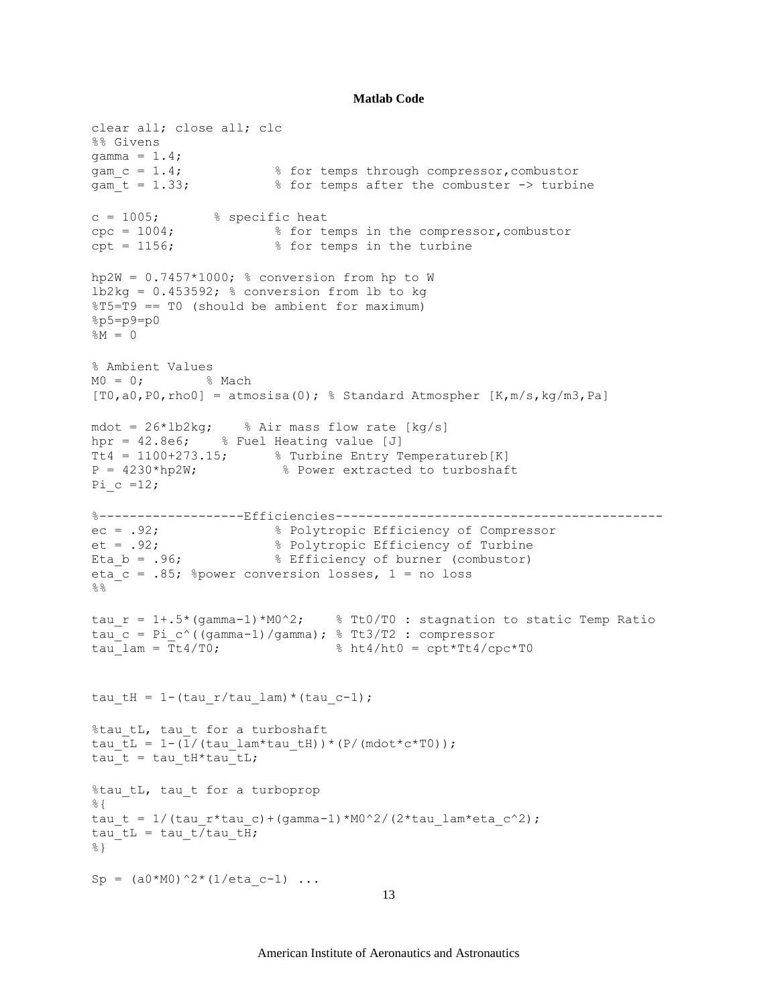## **Matlab Code**

```
13
clear all; close all; clc
%% Givens
gamma = 1.4;
gam c = 1.4; \frac{1}{2} for temps through compressor, combustor
gam t = 1.33; \frac{1}{8} for temps after the combuster \rightarrow turbine
c = 1005; \frac{1005}{1000} & specific heat
cpc = 1004; % for temps in the compressor,combustor
\text{cpt} = 1156; % for temps in the turbine
hp2W = 0.7457*1000; % conversion from hp to W
lb2kg = 0.453592; % conversion from lb to kg
%T5=T9 == T0 (should be ambient for maximum)
8p5=p9=p0^{\circ}M = 0% Ambient Values
MO = 0; % Mach
[T0,a0,P0,rho0] =atmosisa(0); % Standard Atmospher [K,m/s,kg/m3,Pa]mdot = 26*lb2kg; % Air mass flow rate [kg/s]
hpr = 42.8e6; % Fuel Heating value [J]
Tt4 = 1100+273.15; % Turbine Entry Temperatureb[K]
P = 4230*hp2W; % Power extracted to turboshaft
Pi c =12;
%-------------------Efficiencies-------------------------------------------
ec = .92; % Polytropic Efficiency of Compressor
et = .92;<br>Eta b = .96; <br>& Efficiency of burner (combustor)
                      % Efficiency of burner (combustor)
eta c = .85; %power conversion losses, 1 = no loss
%tau r = 1+.5*(qamma-1)*M0^2; % Tt0/T0 : stagnation to static Temp Ratio
tau c = Pi c^((gamma-1)/gamma) ; % Tt3/T2 : compressor
tau lam = Tt4/T0; % ht4/ht0 = cpt*Tt4/cpc*T0
tau tH = 1-(tau r/tau lam) * (tau c-1);
%tau tL, tau t for a turboshaft
tau tL = 1-(1/(tau lam*tau tH))*(P/(mdot*c*T0));
tau_t = \tau_t + \tau_{\text{tau}}%tau tL, tau t for a turboprop
%{
tau t = 1/(tau r*tau c) + (gamma-1) *M0^2/(2*tau lam*eta c^2);
tau tL = tau t/tau tH;
%}
Sp = (a0*M0)^2^*(1/eta_c-1) ...
```